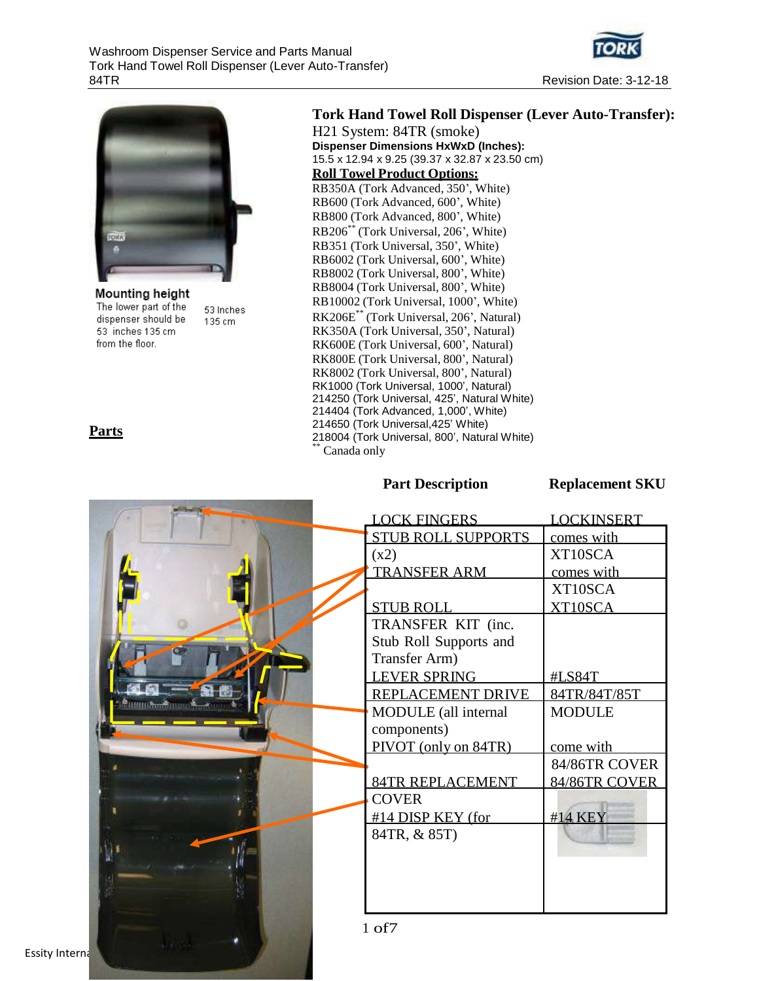



Mounting height The lower part of the 53 Inches dispenser should be 135 cm 53 inches 135 cm from the floor.

#### **Parts**

#### **Tork Hand Towel Roll Dispenser (Lever Auto-Transfer):**

H21 System: 84TR (smoke) **Dispenser Dimensions HxWxD (Inches):** 15.5 x 12.94 x 9.25 (39.37 x 32.87 x 23.50 cm) **Roll Towel Product Options:** RB350A (Tork Advanced, 350', White) RB600 (Tork Advanced, 600', White) RB800 (Tork Advanced, 800', White) RB206\*\* (Tork Universal, 206', White) RB351 (Tork Universal, 350', White) RB6002 (Tork Universal, 600', White) RB8002 (Tork Universal, 800', White) RB8004 (Tork Universal, 800', White) RB10002 (Tork Universal, 1000', White) RK206E\*\* (Tork Universal, 206', Natural) RK350A (Tork Universal, 350', Natural) RK600E (Tork Universal, 600', Natural) RK800E (Tork Universal, 800', Natural) RK8002 (Tork Universal, 800', Natural) RK1000 (Tork Universal, 1000', Natural) 214250 (Tork Universal, 425', Natural White) 214404 (Tork Advanced, 1,000', White) 214650 (Tork Universal,425' White) 218004 (Tork Universal, 800', Natural White) Canada only

#### **Part Description Replacement SKU**

|                      | <b>LOCK FINGERS</b>       | <b>LOCKINSERT</b> |
|----------------------|---------------------------|-------------------|
|                      | <b>STUB ROLL SUPPORTS</b> | comes with        |
|                      | (x2)                      | XT10SCA           |
|                      | <b>TRANSFER ARM</b>       | comes with        |
|                      |                           | XT10SCA           |
|                      | <b>STUB ROLL</b>          | XT10SCA           |
|                      | TRANSFER KIT (inc.        |                   |
|                      | Stub Roll Supports and    |                   |
|                      | Transfer Arm)             |                   |
|                      | <b>LEVER SPRING</b>       | #LS84T            |
| <b>Tuunokaa Tuun</b> | REPLACEMENT DRIVE         | 84TR/84T/85T      |
|                      | MODULE (all internal      | <b>MODULE</b>     |
|                      | components)               |                   |
|                      | PIVOT (only on 84TR)      | come with         |
|                      |                           | 84/86TR COVER     |
|                      | <b>84TR REPLACEMENT</b>   | 84/86TR COVER     |
|                      | <b>COVER</b>              |                   |
|                      | #14 DISP KEY (for         | #14 KEY           |
|                      | 84TR, & 85T)              |                   |
|                      |                           |                   |
|                      |                           |                   |
|                      |                           |                   |
|                      |                           |                   |
|                      | $1$ of $7$                |                   |
|                      |                           |                   |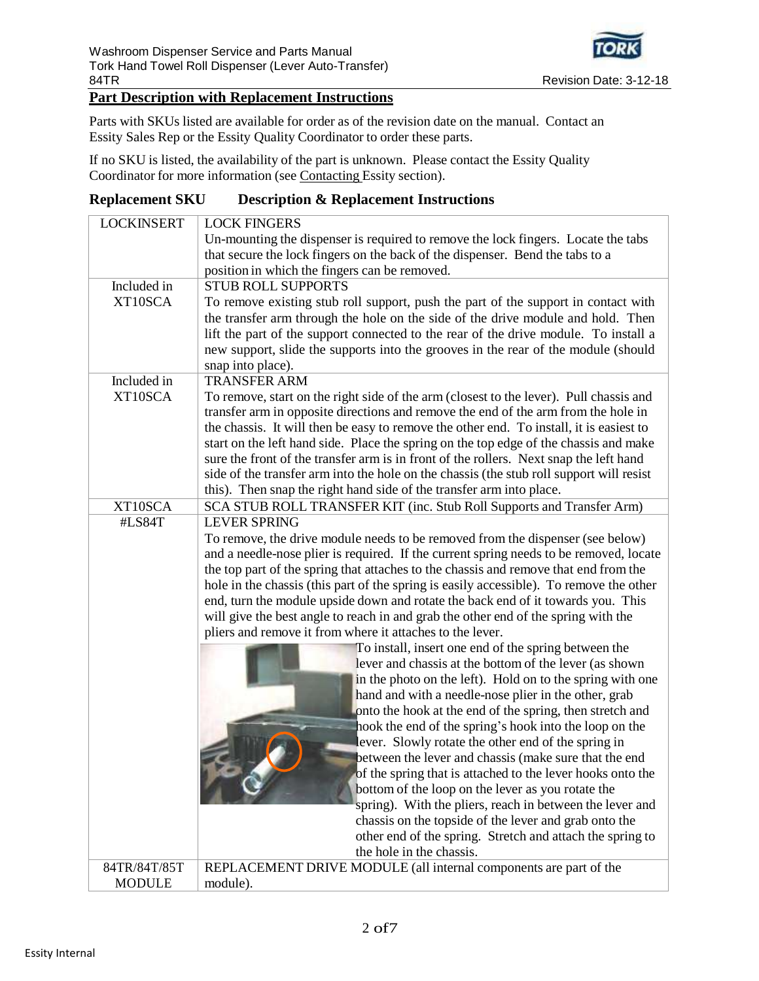

#### Revision Date: 3-12-18

# **Part Description with Replacement Instructions**

Parts with SKUs listed are available for order as of the revision date on the manual. Contact an Essity Sales Rep or the Essity Quality Coordinator to order these parts.

If no SKU is listed, the availability of the part is unknown. Please contact the Essity Quality Coordinator for more information (see Contacting Essity section).

#### **Replacement SKU Description & Replacement Instructions**

| <b>LOCKINSERT</b> | <b>LOCK FINGERS</b>                                                                      |
|-------------------|------------------------------------------------------------------------------------------|
|                   | Un-mounting the dispenser is required to remove the lock fingers. Locate the tabs        |
|                   | that secure the lock fingers on the back of the dispenser. Bend the tabs to a            |
|                   | position in which the fingers can be removed.                                            |
| Included in       | <b>STUB ROLL SUPPORTS</b>                                                                |
| XT10SCA           | To remove existing stub roll support, push the part of the support in contact with       |
|                   | the transfer arm through the hole on the side of the drive module and hold. Then         |
|                   | lift the part of the support connected to the rear of the drive module. To install a     |
|                   | new support, slide the supports into the grooves in the rear of the module (should       |
|                   | snap into place).                                                                        |
| Included in       | <b>TRANSFER ARM</b>                                                                      |
| XT10SCA           | To remove, start on the right side of the arm (closest to the lever). Pull chassis and   |
|                   | transfer arm in opposite directions and remove the end of the arm from the hole in       |
|                   | the chassis. It will then be easy to remove the other end. To install, it is easiest to  |
|                   | start on the left hand side. Place the spring on the top edge of the chassis and make    |
|                   | sure the front of the transfer arm is in front of the rollers. Next snap the left hand   |
|                   | side of the transfer arm into the hole on the chassis (the stub roll support will resist |
|                   | this). Then snap the right hand side of the transfer arm into place.                     |
| XT10SCA           | SCA STUB ROLL TRANSFER KIT (inc. Stub Roll Supports and Transfer Arm)                    |
| #LS84T            | <b>LEVER SPRING</b>                                                                      |
|                   | To remove, the drive module needs to be removed from the dispenser (see below)           |
|                   | and a needle-nose plier is required. If the current spring needs to be removed, locate   |
|                   | the top part of the spring that attaches to the chassis and remove that end from the     |
|                   | hole in the chassis (this part of the spring is easily accessible). To remove the other  |
|                   | end, turn the module upside down and rotate the back end of it towards you. This         |
|                   | will give the best angle to reach in and grab the other end of the spring with the       |
|                   | pliers and remove it from where it attaches to the lever.                                |
|                   | To install, insert one end of the spring between the                                     |
|                   | lever and chassis at the bottom of the lever (as shown                                   |
|                   | in the photo on the left). Hold on to the spring with one                                |
|                   | hand and with a needle-nose plier in the other, grab                                     |
|                   | onto the hook at the end of the spring, then stretch and                                 |
|                   | hook the end of the spring's hook into the loop on the                                   |
|                   | lever. Slowly rotate the other end of the spring in                                      |
|                   | between the lever and chassis (make sure that the end                                    |
|                   | of the spring that is attached to the lever hooks onto the                               |
|                   | bottom of the loop on the lever as you rotate the                                        |
|                   | spring). With the pliers, reach in between the lever and                                 |
|                   | chassis on the topside of the lever and grab onto the                                    |
|                   | other end of the spring. Stretch and attach the spring to<br>the hole in the chassis.    |
| 84TR/84T/85T      | REPLACEMENT DRIVE MODULE (all internal components are part of the                        |
| <b>MODULE</b>     | module).                                                                                 |
|                   |                                                                                          |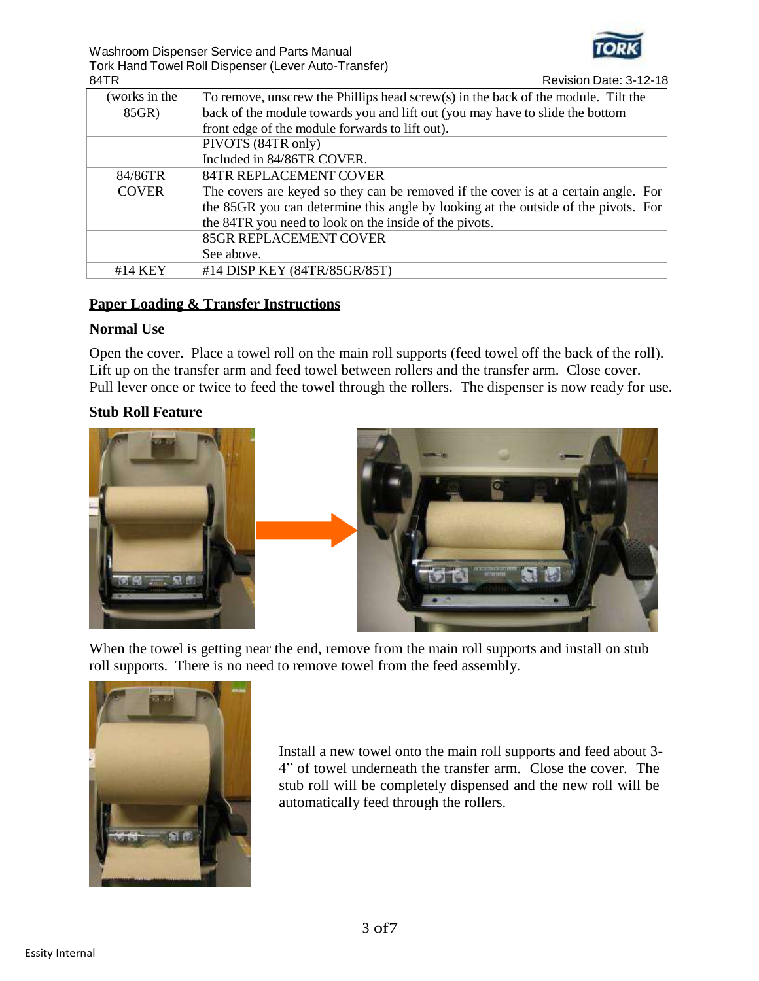

Washroom Dispenser Service and Parts Manual Tork Hand Towel Roll Dispenser (Lever Auto-Transfer)

| 84TR          | Revision Date: 3-12-18                                                                  |
|---------------|-----------------------------------------------------------------------------------------|
| (works in the | To remove, unscrew the Phillips head $s$ crew $(s)$ in the back of the module. Tilt the |
| 85GR)         | back of the module towards you and lift out (you may have to slide the bottom           |
|               | front edge of the module forwards to lift out).                                         |
|               | PIVOTS (84TR only)                                                                      |
|               | Included in 84/86TR COVER.                                                              |
| 84/86TR       | <b>84TR REPLACEMENT COVER</b>                                                           |
| <b>COVER</b>  | The covers are keyed so they can be removed if the cover is at a certain angle. For     |
|               | the 85GR you can determine this angle by looking at the outside of the pivots. For      |
|               | the 84TR you need to look on the inside of the pivots.                                  |
|               | <b>85GR REPLACEMENT COVER</b>                                                           |
|               | See above.                                                                              |
| #14 KEY       | #14 DISP KEY (84TR/85GR/85T)                                                            |

# **Paper Loading & Transfer Instructions**

### **Normal Use**

Open the cover. Place a towel roll on the main roll supports (feed towel off the back of the roll). Lift up on the transfer arm and feed towel between rollers and the transfer arm. Close cover. Pull lever once or twice to feed the towel through the rollers. The dispenser is now ready for use.

#### **Stub Roll Feature**



When the towel is getting near the end, remove from the main roll supports and install on stub roll supports. There is no need to remove towel from the feed assembly.



Install a new towel onto the main roll supports and feed about 3- 4" of towel underneath the transfer arm. Close the cover. The stub roll will be completely dispensed and the new roll will be automatically feed through the rollers.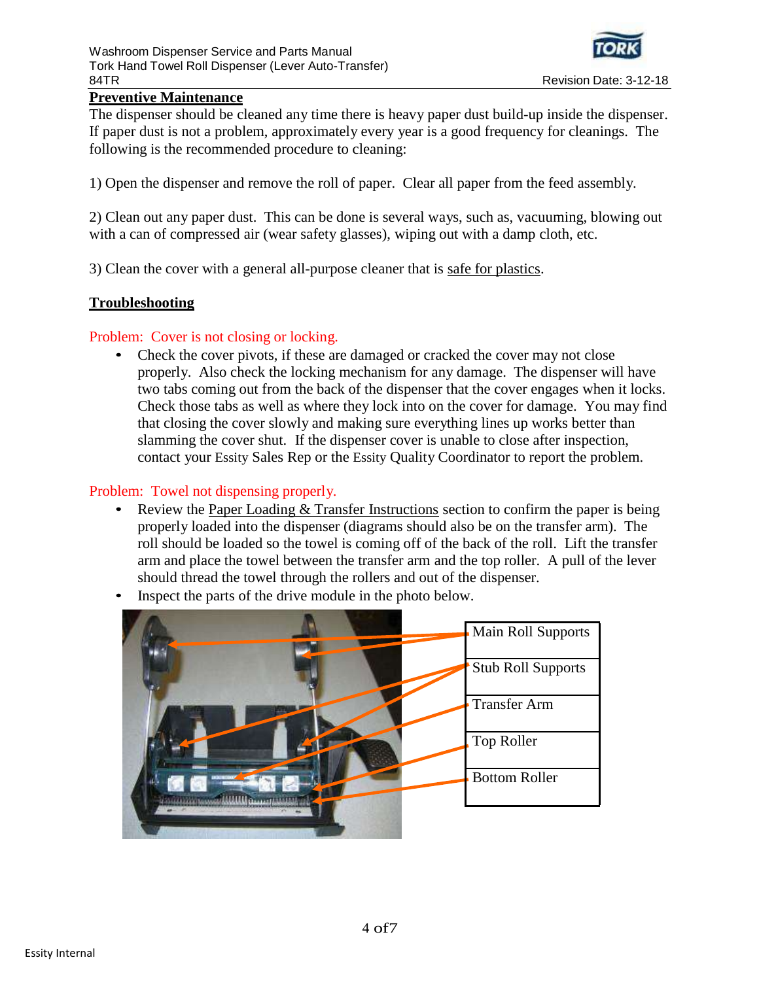

# **Preventive Maintenance**

The dispenser should be cleaned any time there is heavy paper dust build-up inside the dispenser. If paper dust is not a problem, approximately every year is a good frequency for cleanings. The following is the recommended procedure to cleaning:

1) Open the dispenser and remove the roll of paper. Clear all paper from the feed assembly.

2) Clean out any paper dust. This can be done is several ways, such as, vacuuming, blowing out with a can of compressed air (wear safety glasses), wiping out with a damp cloth, etc.

3) Clean the cover with a general all-purpose cleaner that is safe for plastics.

# **Troubleshooting**

# Problem: Cover is not closing or locking.

• Check the cover pivots, if these are damaged or cracked the cover may not close properly. Also check the locking mechanism for any damage. The dispenser will have two tabs coming out from the back of the dispenser that the cover engages when it locks. Check those tabs as well as where they lock into on the cover for damage. You may find that closing the cover slowly and making sure everything lines up works better than slamming the cover shut. If the dispenser cover is unable to close after inspection, contact your Essity Sales Rep or the Essity Quality Coordinator to report the problem.

# Problem: Towel not dispensing properly.

- Review the Paper Loading  $&$  Transfer Instructions section to confirm the paper is being properly loaded into the dispenser (diagrams should also be on the transfer arm). The roll should be loaded so the towel is coming off of the back of the roll. Lift the transfer arm and place the towel between the transfer arm and the top roller. A pull of the lever should thread the towel through the rollers and out of the dispenser.
- Inspect the parts of the drive module in the photo below.

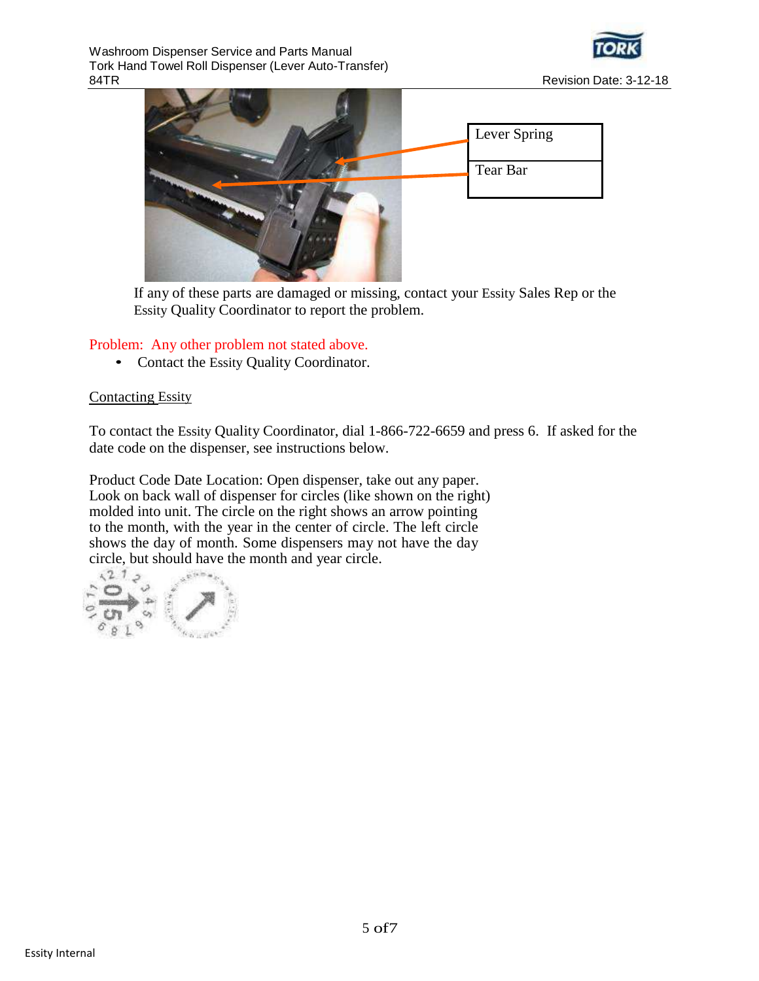



If any of these parts are damaged or missing, contact your Essity Sales Rep or the Essity Quality Coordinator to report the problem.

### Problem: Any other problem not stated above.

• Contact the Essity Quality Coordinator.

#### Contacting Essity

To contact the Essity Quality Coordinator, dial 1-866-722-6659 and press 6. If asked for the date code on the dispenser, see instructions below.

Product Code Date Location: Open dispenser, take out any paper. Look on back wall of dispenser for circles (like shown on the right) molded into unit. The circle on the right shows an arrow pointing to the month, with the year in the center of circle. The left circle shows the day of month. Some dispensers may not have the day circle, but should have the month and year circle.

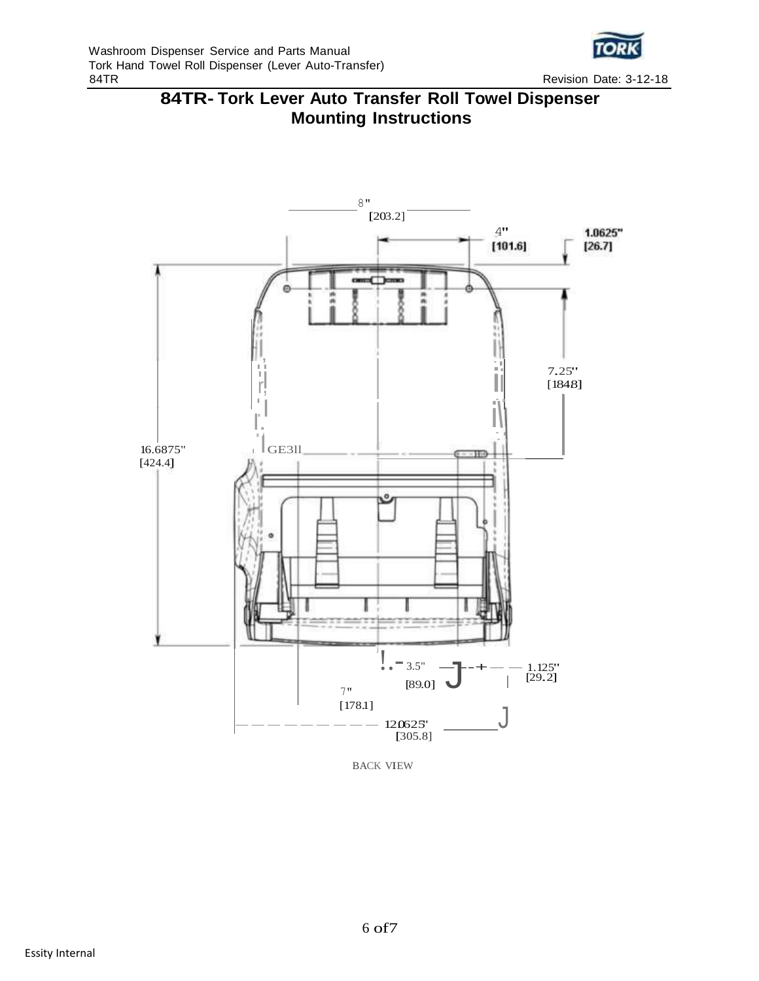





BACK VIEW